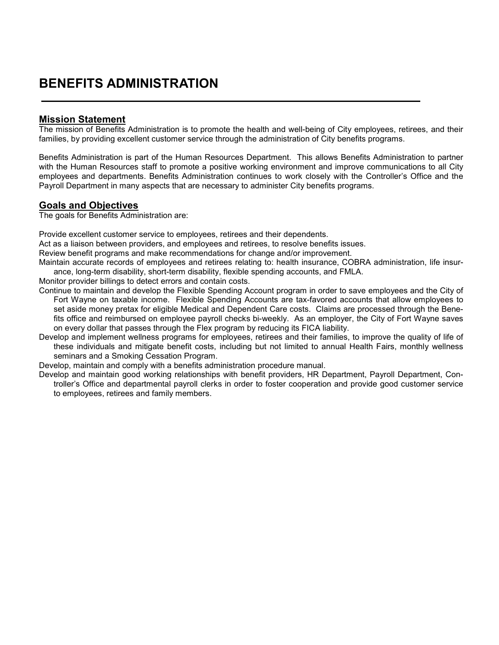## **BENEFITS ADMINISTRATION**

## **Mission Statement**

The mission of Benefits Administration is to promote the health and well-being of City employees, retirees, and their families, by providing excellent customer service through the administration of City benefits programs.

Benefits Administration is part of the Human Resources Department. This allows Benefits Administration to partner with the Human Resources staff to promote a positive working environment and improve communications to all City employees and departments. Benefits Administration continues to work closely with the Controller's Office and the Payroll Department in many aspects that are necessary to administer City benefits programs.

## **Goals and Objectives**

The goals for Benefits Administration are:

Provide excellent customer service to employees, retirees and their dependents.

Act as a liaison between providers, and employees and retirees, to resolve benefits issues.

Review benefit programs and make recommendations for change and/or improvement.

Maintain accurate records of employees and retirees relating to: health insurance, COBRA administration, life insurance, long-term disability, short-term disability, flexible spending accounts, and FMLA.

Monitor provider billings to detect errors and contain costs.

Continue to maintain and develop the Flexible Spending Account program in order to save employees and the City of Fort Wayne on taxable income. Flexible Spending Accounts are tax-favored accounts that allow employees to set aside money pretax for eligible Medical and Dependent Care costs. Claims are processed through the Benefits office and reimbursed on employee payroll checks bi-weekly. As an employer, the City of Fort Wayne saves on every dollar that passes through the Flex program by reducing its FICA liability.

Develop and implement wellness programs for employees, retirees and their families, to improve the quality of life of these individuals and mitigate benefit costs, including but not limited to annual Health Fairs, monthly wellness seminars and a Smoking Cessation Program.

Develop, maintain and comply with a benefits administration procedure manual.

Develop and maintain good working relationships with benefit providers, HR Department, Payroll Department, Controller's Office and departmental payroll clerks in order to foster cooperation and provide good customer service to employees, retirees and family members.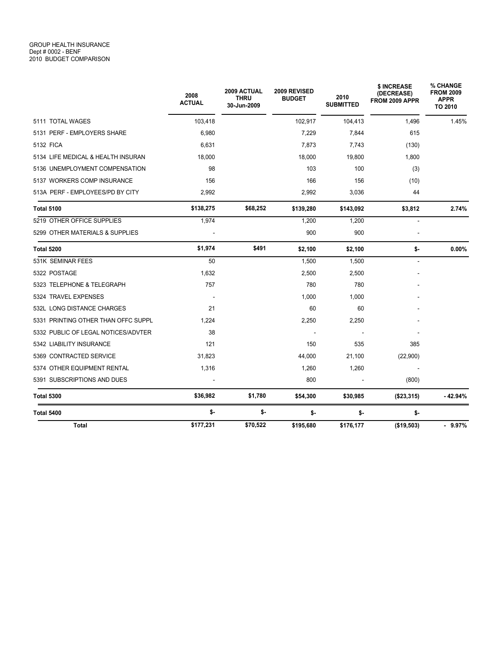|                                     | 2008<br><b>ACTUAL</b> | <b>2009 ACTUAL</b><br><b>THRU</b><br>30-Jun-2009 | 2009 REVISED<br><b>BUDGET</b> | 2010<br><b>SUBMITTED</b> | \$ INCREASE<br>(DECREASE)<br>FROM 2009 APPR | % CHANGE<br><b>FROM 2009</b><br><b>APPR</b><br>TO 2010 |
|-------------------------------------|-----------------------|--------------------------------------------------|-------------------------------|--------------------------|---------------------------------------------|--------------------------------------------------------|
| 5111 TOTAL WAGES                    | 103,418               |                                                  | 102,917                       | 104,413                  | 1,496                                       | 1.45%                                                  |
| 5131 PERF - EMPLOYERS SHARE         | 6,980                 |                                                  | 7,229                         | 7,844                    | 615                                         |                                                        |
| 5132 FICA                           | 6,631                 |                                                  | 7,873                         | 7,743                    | (130)                                       |                                                        |
| 5134 LIFE MEDICAL & HEALTH INSURAN  | 18,000                |                                                  | 18,000                        | 19,800                   | 1,800                                       |                                                        |
| 5136 UNEMPLOYMENT COMPENSATION      | 98                    |                                                  | 103                           | 100                      | (3)                                         |                                                        |
| 5137 WORKERS COMP INSURANCE         | 156                   |                                                  | 166                           | 156                      | (10)                                        |                                                        |
| 513A PERF - EMPLOYEES/PD BY CITY    | 2,992                 |                                                  | 2,992                         | 3,036                    | 44                                          |                                                        |
| <b>Total 5100</b>                   | \$138,275             | \$68,252                                         | \$139,280                     | \$143,092                | \$3,812                                     | 2.74%                                                  |
| 5219 OTHER OFFICE SUPPLIES          | 1,974                 |                                                  | 1.200                         | 1.200                    | L.                                          |                                                        |
| 5299 OTHER MATERIALS & SUPPLIES     |                       |                                                  | 900                           | 900                      |                                             |                                                        |
| Total 5200                          | \$1,974               | \$491                                            | \$2,100                       | \$2,100                  | \$-                                         | 0.00%                                                  |
| 531K SEMINAR FEES                   | 50                    |                                                  | 1,500                         | 1,500                    | $\blacksquare$                              |                                                        |
| 5322 POSTAGE                        | 1,632                 |                                                  | 2,500                         | 2,500                    |                                             |                                                        |
| 5323 TELEPHONE & TELEGRAPH          | 757                   |                                                  | 780                           | 780                      |                                             |                                                        |
| 5324 TRAVEL EXPENSES                | $\sim$                |                                                  | 1,000                         | 1,000                    |                                             |                                                        |
| 532L LONG DISTANCE CHARGES          | 21                    |                                                  | 60                            | 60                       |                                             |                                                        |
| 5331 PRINTING OTHER THAN OFFC SUPPL | 1,224                 |                                                  | 2,250                         | 2,250                    |                                             |                                                        |
| 5332 PUBLIC OF LEGAL NOTICES/ADVTER | 38                    |                                                  |                               |                          |                                             |                                                        |
| 5342 LIABILITY INSURANCE            | 121                   |                                                  | 150                           | 535                      | 385                                         |                                                        |
| 5369 CONTRACTED SERVICE             | 31,823                |                                                  | 44,000                        | 21,100                   | (22,900)                                    |                                                        |
| 5374 OTHER EQUIPMENT RENTAL         | 1,316                 |                                                  | 1,260                         | 1,260                    |                                             |                                                        |
| 5391 SUBSCRIPTIONS AND DUES         |                       |                                                  | 800                           |                          | (800)                                       |                                                        |
| <b>Total 5300</b>                   | \$36,982              | \$1,780                                          | \$54,300                      | \$30,985                 | (\$23,315)                                  | $-42.94%$                                              |
| Total 5400                          | \$-                   | \$-                                              | \$-                           | \$-                      | \$-                                         |                                                        |
| <b>Total</b>                        | \$177,231             | \$70,522                                         | \$195,680                     | \$176,177                | (\$19,503)                                  | $-9.97%$                                               |